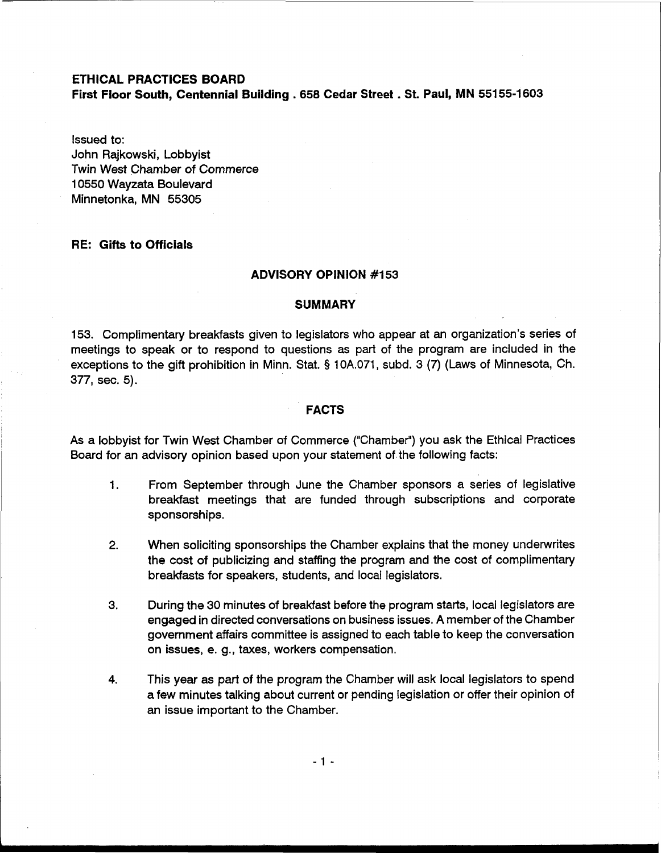## **ETHICAL PRACTICES BOARD**

**First Floor South, Centennial Building** . **658 Cedar Street** . **St. Paul, MN 55155-1603** 

Issued to: John Rajkowski, Lobbyist Twin West Chamber of Commerce 10550 Wayzata Boulevard Minnetonka, MN 55305

## **RE: Gifts to Officials**

## **ADVISORY OPINION #I53**

#### **SUMMARY**

153. Complimentary breakfasts given to legislators who appear at an organization's series of meetings to speak or to respond to questions as part of the program are included in the exceptions to the gift prohibition in Minn. Stat. **5** 10A.071, subd. 3 (7) (Laws of Minnesota, Ch. 377, sec. 5).

#### **FACTS**

As a lobbyist for Twin West Chamber of Commerce ("Chamber") you ask the Ethical Practices Board for an advisory opinion based upon your statement of. the following facts:

- 1. From September through June the Chamber sponsors a series of legislative breakfast meetings that are funded through subscriptions and corporate sponsorships.
- **2.** When soliciting sponsorships the Chamber explains that the money underwrites the cost of publicizing and staffing the program and the cost of complimentary breakfasts for speakers, students, and local legislators.
- **3.** During the 30 minutes of breakfast before the program starts, local legislators are engaged in directed conversations on business issues. A member of the Chamber government affairs committee is assigned to each table to keep the conversation on issues, e. g., taxes, workers compensation.
- **4.** This year as part of the program the Chamber will ask local legislators to spend a few minutes talking about current or pending legislation or offer their opinion of an issue important to the Chamber.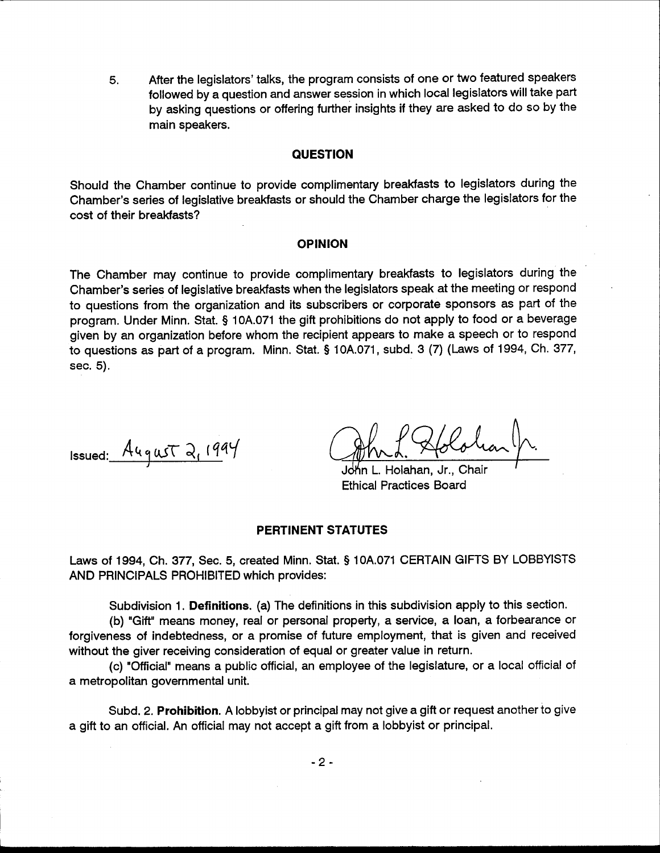After the legislators' talks, the program consists of one or two featured speakers 5. followed by a question and answer session in which local legislators will take part by asking questions or offering further insights if they are asked to do so by the main speakers.

# **QUESTION**

Should the Chamber continue to provide complimentary breakfasts to legislators during the Chamber's series of legislative breakfasts or should the Chamber charge the legislators for the cost of their breakfasts?

### **OPINION**

The Chamber may continue to provide complimentary breakfasts to legislators during the Chamber's series of legislative breakfasts when the legislators speak at the meeting or respond to questions from the organization and its subscribers or corporate sponsors as part of the program. Under Minn. Stat. § 10A.071 the gift prohibitions do not apply to food or a beverage given by an organization before whom the recipient appears to make a speech or to respond to questions as part of a program. Minn. Stat. § 10A.071, subd. 3 (7) (Laws of 1994, Ch. 377, sec. 5).

Issued:  $A$ ugust 2, 1994

Holahan, Jr., Chair **Ethical Practices Board** 

## **PERTINENT STATUTES**

Laws of 1994, Ch. 377, Sec. 5, created Minn. Stat. § 10A.071 CERTAIN GIFTS BY LOBBYISTS AND PRINCIPALS PROHIBITED which provides:

Subdivision 1. Definitions. (a) The definitions in this subdivision apply to this section.

(b) "Gift" means money, real or personal property, a service, a loan, a forbearance or forgiveness of indebtedness, or a promise of future employment, that is given and received without the giver receiving consideration of equal or greater value in return.

(c) "Official" means a public official, an employee of the legislature, or a local official of a metropolitan governmental unit.

Subd. 2. Prohibition. A lobbyist or principal may not give a gift or request another to give a gift to an official. An official may not accept a gift from a lobbyist or principal.